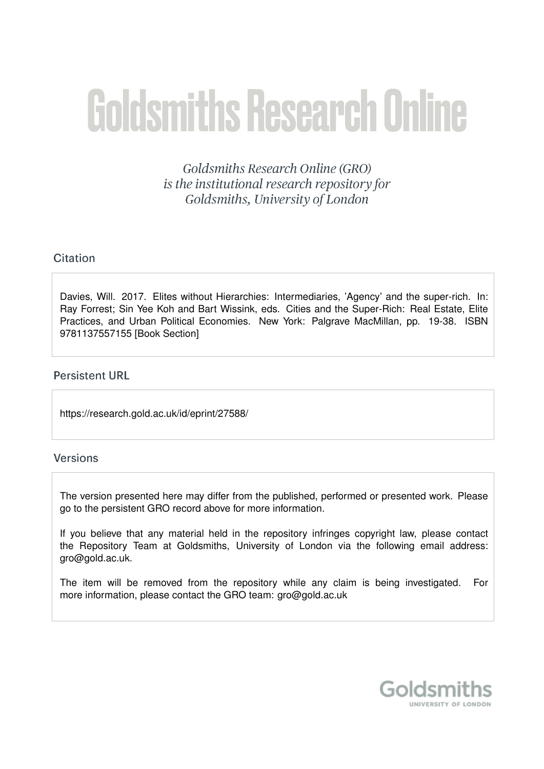# **Goldsmiths Research Online**

Goldsmiths Research Online (GRO) is the institutional research repository for Goldsmiths, University of London

# Citation

Davies, Will. 2017. Elites without Hierarchies: Intermediaries, 'Agency' and the super-rich. In: Ray Forrest; Sin Yee Koh and Bart Wissink, eds. Cities and the Super-Rich: Real Estate, Elite Practices, and Urban Political Economies. New York: Palgrave MacMillan, pp. 19-38. ISBN 9781137557155 [Book Section]

## **Persistent URL**

https://research.gold.ac.uk/id/eprint/27588/

## Versions

The version presented here may differ from the published, performed or presented work. Please go to the persistent GRO record above for more information.

If you believe that any material held in the repository infringes copyright law, please contact the Repository Team at Goldsmiths, University of London via the following email address: gro@gold.ac.uk.

The item will be removed from the repository while any claim is being investigated. For more information, please contact the GRO team: gro@gold.ac.uk

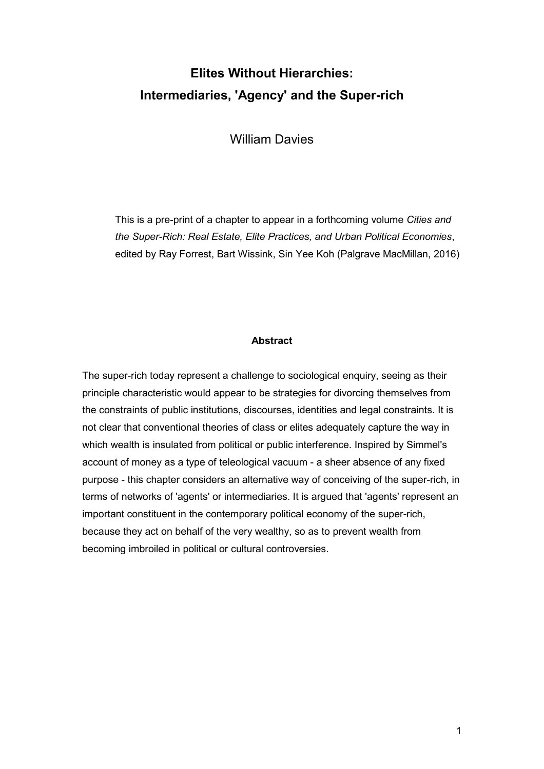# **Elites Without Hierarchies: Intermediaries, 'Agency' and the Super-rich**

William Davies

This is a pre-print of a chapter to appear in a forthcoming volume *Cities and the Super-Rich: Real Estate, Elite Practices, and Urban Political Economies*, edited by Ray Forrest, Bart Wissink, Sin Yee Koh (Palgrave MacMillan, 2016)

#### **Abstract**

The super-rich today represent a challenge to sociological enquiry, seeing as their principle characteristic would appear to be strategies for divorcing themselves from the constraints of public institutions, discourses, identities and legal constraints. It is not clear that conventional theories of class or elites adequately capture the way in which wealth is insulated from political or public interference. Inspired by Simmel's account of money as a type of teleological vacuum - a sheer absence of any fixed purpose - this chapter considers an alternative way of conceiving of the super-rich, in terms of networks of 'agents' or intermediaries. It is argued that 'agents' represent an important constituent in the contemporary political economy of the super-rich, because they act on behalf of the very wealthy, so as to prevent wealth from becoming imbroiled in political or cultural controversies.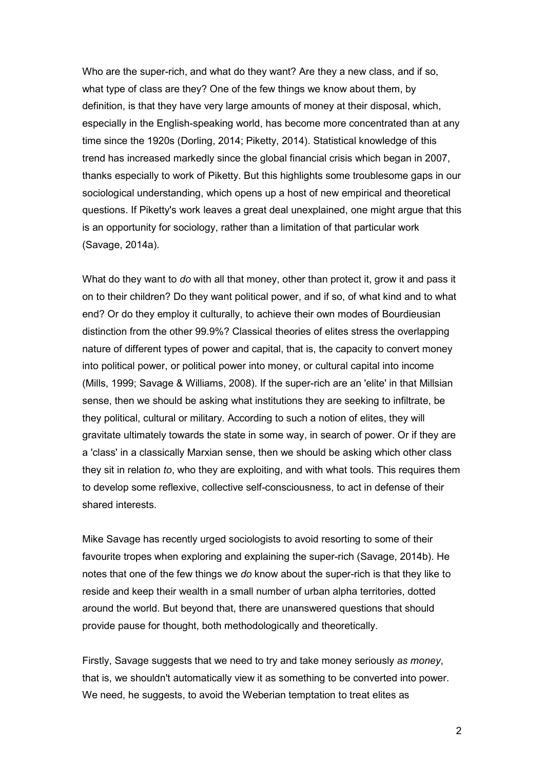Who are the super-rich, and what do they want? Are they a new class, and if so, what type of class are they? One of the few things we know about them, by definition, is that they have very large amounts of money at their disposal, which, especially in the English-speaking world, has become more concentrated than at any time since the 1920s (Dorling, 2014; Piketty, 2014). Statistical knowledge of this trend has increased markedly since the global financial crisis which began in 2007, thanks especially to work of Piketty. But this highlights some troublesome gaps in our sociological understanding, which opens up a host of new empirical and theoretical questions. If Piketty's work leaves a great deal unexplained, one might argue that this is an opportunity for sociology, rather than a limitation of that particular work (Savage, 2014a).

What do they want to *do* with all that money, other than protect it, grow it and pass it on to their children? Do they want political power, and if so, of what kind and to what end? Or do they employ it culturally, to achieve their own modes of Bourdieusian distinction from the other 99.9%? Classical theories of elites stress the overlapping nature of different types of power and capital, that is, the capacity to convert money into political power, or political power into money, or cultural capital into income (Mills, 1999; Savage & Williams, 2008). If the super-rich are an 'elite' in that Millsian sense, then we should be asking what institutions they are seeking to infiltrate, be they political, cultural or military. According to such a notion of elites, they will gravitate ultimately towards the state in some way, in search of power. Or if they are a 'class' in a classically Marxian sense, then we should be asking which other class they sit in relation *to*, who they are exploiting, and with what tools. This requires them to develop some reflexive, collective self-consciousness, to act in defense of their shared interests.

Mike Savage has recently urged sociologists to avoid resorting to some of their favourite tropes when exploring and explaining the super-rich (Savage, 2014b). He notes that one of the few things we *do* know about the super-rich is that they like to reside and keep their wealth in a small number of urban alpha territories, dotted around the world. But beyond that, there are unanswered questions that should provide pause for thought, both methodologically and theoretically.

Firstly, Savage suggests that we need to try and take money seriously *as money*, that is, we shouldn't automatically view it as something to be converted into power. We need, he suggests, to avoid the Weberian temptation to treat elites as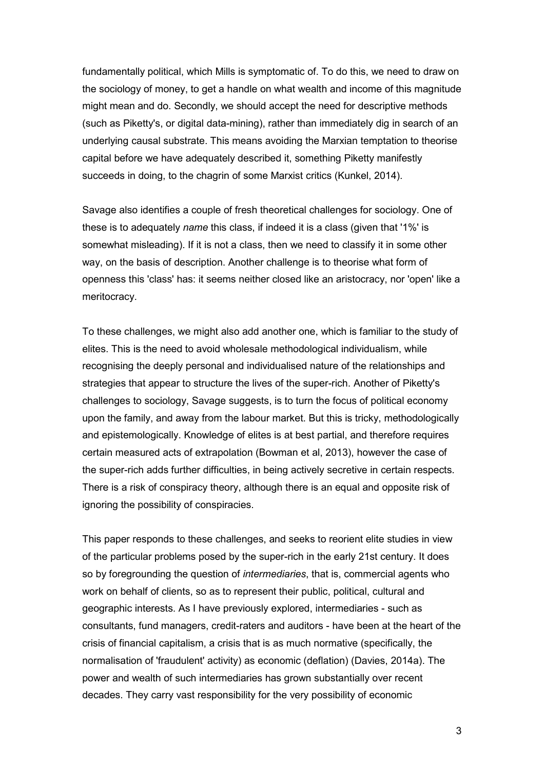fundamentally political, which Mills is symptomatic of. To do this, we need to draw on the sociology of money, to get a handle on what wealth and income of this magnitude might mean and do. Secondly, we should accept the need for descriptive methods (such as Piketty's, or digital data-mining), rather than immediately dig in search of an underlying causal substrate. This means avoiding the Marxian temptation to theorise capital before we have adequately described it, something Piketty manifestly succeeds in doing, to the chagrin of some Marxist critics (Kunkel, 2014).

Savage also identifies a couple of fresh theoretical challenges for sociology. One of these is to adequately *name* this class, if indeed it is a class (given that '1%' is somewhat misleading). If it is not a class, then we need to classify it in some other way, on the basis of description. Another challenge is to theorise what form of openness this 'class' has: it seems neither closed like an aristocracy, nor 'open' like a meritocracy.

To these challenges, we might also add another one, which is familiar to the study of elites. This is the need to avoid wholesale methodological individualism, while recognising the deeply personal and individualised nature of the relationships and strategies that appear to structure the lives of the super-rich. Another of Piketty's challenges to sociology, Savage suggests, is to turn the focus of political economy upon the family, and away from the labour market. But this is tricky, methodologically and epistemologically. Knowledge of elites is at best partial, and therefore requires certain measured acts of extrapolation (Bowman et al, 2013), however the case of the super-rich adds further difficulties, in being actively secretive in certain respects. There is a risk of conspiracy theory, although there is an equal and opposite risk of ignoring the possibility of conspiracies.

This paper responds to these challenges, and seeks to reorient elite studies in view of the particular problems posed by the super-rich in the early 21st century. It does so by foregrounding the question of *intermediaries*, that is, commercial agents who work on behalf of clients, so as to represent their public, political, cultural and geographic interests. As I have previously explored, intermediaries - such as consultants, fund managers, credit-raters and auditors - have been at the heart of the crisis of financial capitalism, a crisis that is as much normative (specifically, the normalisation of 'fraudulent' activity) as economic (deflation) (Davies, 2014a). The power and wealth of such intermediaries has grown substantially over recent decades. They carry vast responsibility for the very possibility of economic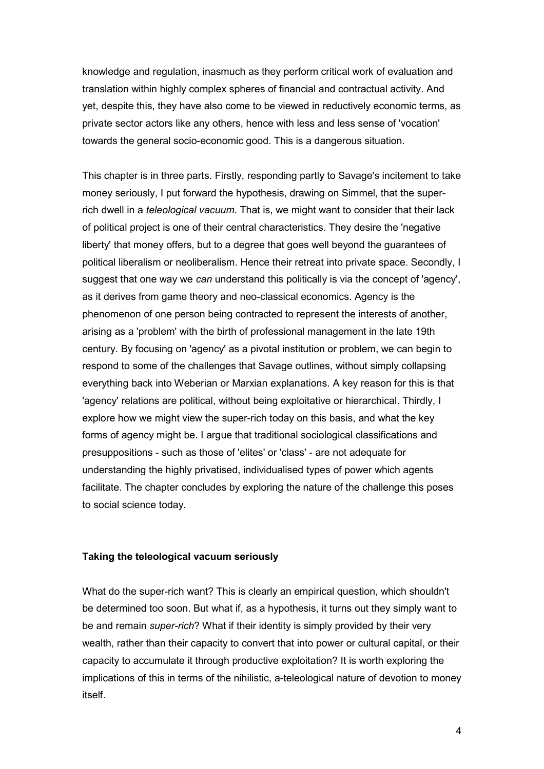knowledge and regulation, inasmuch as they perform critical work of evaluation and translation within highly complex spheres of financial and contractual activity. And yet, despite this, they have also come to be viewed in reductively economic terms, as private sector actors like any others, hence with less and less sense of 'vocation' towards the general socio-economic good. This is a dangerous situation.

This chapter is in three parts. Firstly, responding partly to Savage's incitement to take money seriously, I put forward the hypothesis, drawing on Simmel, that the superrich dwell in a *teleological vacuum*. That is, we might want to consider that their lack of political project is one of their central characteristics. They desire the 'negative liberty' that money offers, but to a degree that goes well beyond the guarantees of political liberalism or neoliberalism. Hence their retreat into private space. Secondly, I suggest that one way we *can* understand this politically is via the concept of 'agency', as it derives from game theory and neo-classical economics. Agency is the phenomenon of one person being contracted to represent the interests of another, arising as a 'problem' with the birth of professional management in the late 19th century. By focusing on 'agency' as a pivotal institution or problem, we can begin to respond to some of the challenges that Savage outlines, without simply collapsing everything back into Weberian or Marxian explanations. A key reason for this is that 'agency' relations are political, without being exploitative or hierarchical. Thirdly, I explore how we might view the super-rich today on this basis, and what the key forms of agency might be. I argue that traditional sociological classifications and presuppositions - such as those of 'elites' or 'class' - are not adequate for understanding the highly privatised, individualised types of power which agents facilitate. The chapter concludes by exploring the nature of the challenge this poses to social science today.

#### **Taking the teleological vacuum seriously**

What do the super-rich want? This is clearly an empirical question, which shouldn't be determined too soon. But what if, as a hypothesis, it turns out they simply want to be and remain *super-rich*? What if their identity is simply provided by their very wealth, rather than their capacity to convert that into power or cultural capital, or their capacity to accumulate it through productive exploitation? It is worth exploring the implications of this in terms of the nihilistic, a-teleological nature of devotion to money itself.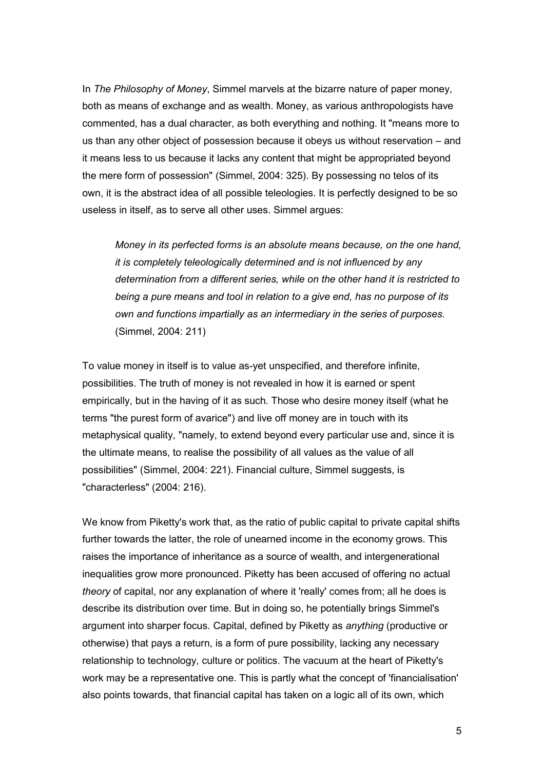In *The Philosophy of Money*, Simmel marvels at the bizarre nature of paper money, both as means of exchange and as wealth. Money, as various anthropologists have commented, has a dual character, as both everything and nothing. It "means more to us than any other object of possession because it obeys us without reservation – and it means less to us because it lacks any content that might be appropriated beyond the mere form of possession" (Simmel, 2004: 325). By possessing no telos of its own, it is the abstract idea of all possible teleologies. It is perfectly designed to be so useless in itself, as to serve all other uses. Simmel argues:

*Money in its perfected forms is an absolute means because, on the one hand, it is completely teleologically determined and is not influenced by any determination from a different series, while on the other hand it is restricted to being a pure means and tool in relation to a give end, has no purpose of its own and functions impartially as an intermediary in the series of purposes.* (Simmel, 2004: 211)

To value money in itself is to value as-yet unspecified, and therefore infinite, possibilities. The truth of money is not revealed in how it is earned or spent empirically, but in the having of it as such. Those who desire money itself (what he terms "the purest form of avarice") and live off money are in touch with its metaphysical quality, "namely, to extend beyond every particular use and, since it is the ultimate means, to realise the possibility of all values as the value of all possibilities" (Simmel, 2004: 221). Financial culture, Simmel suggests, is "characterless" (2004: 216).

We know from Piketty's work that, as the ratio of public capital to private capital shifts further towards the latter, the role of unearned income in the economy grows. This raises the importance of inheritance as a source of wealth, and intergenerational inequalities grow more pronounced. Piketty has been accused of offering no actual *theory* of capital, nor any explanation of where it 'really' comes from; all he does is describe its distribution over time. But in doing so, he potentially brings Simmel's argument into sharper focus. Capital, defined by Piketty as *anything* (productive or otherwise) that pays a return, is a form of pure possibility, lacking any necessary relationship to technology, culture or politics. The vacuum at the heart of Piketty's work may be a representative one. This is partly what the concept of 'financialisation' also points towards, that financial capital has taken on a logic all of its own, which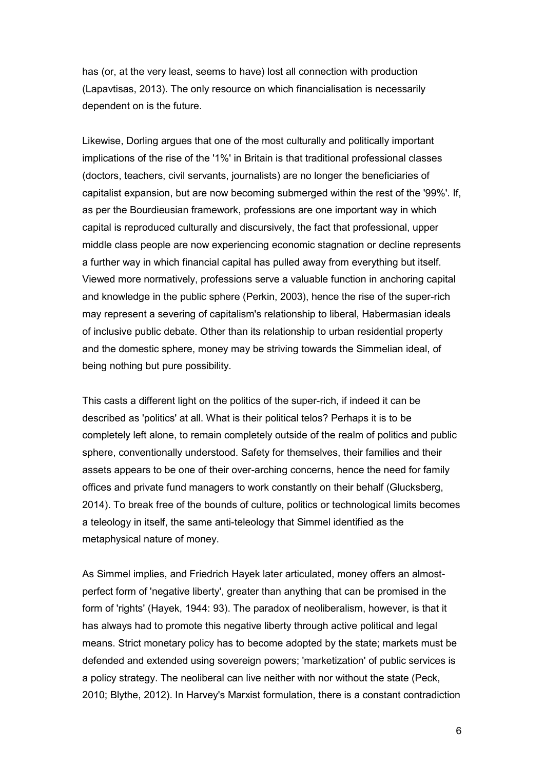has (or, at the very least, seems to have) lost all connection with production (Lapavtisas, 2013). The only resource on which financialisation is necessarily dependent on is the future.

Likewise, Dorling argues that one of the most culturally and politically important implications of the rise of the '1%' in Britain is that traditional professional classes (doctors, teachers, civil servants, journalists) are no longer the beneficiaries of capitalist expansion, but are now becoming submerged within the rest of the '99%'. If, as per the Bourdieusian framework, professions are one important way in which capital is reproduced culturally and discursively, the fact that professional, upper middle class people are now experiencing economic stagnation or decline represents a further way in which financial capital has pulled away from everything but itself. Viewed more normatively, professions serve a valuable function in anchoring capital and knowledge in the public sphere (Perkin, 2003), hence the rise of the super-rich may represent a severing of capitalism's relationship to liberal, Habermasian ideals of inclusive public debate. Other than its relationship to urban residential property and the domestic sphere, money may be striving towards the Simmelian ideal, of being nothing but pure possibility.

This casts a different light on the politics of the super-rich, if indeed it can be described as 'politics' at all. What is their political telos? Perhaps it is to be completely left alone, to remain completely outside of the realm of politics and public sphere, conventionally understood. Safety for themselves, their families and their assets appears to be one of their over-arching concerns, hence the need for family offices and private fund managers to work constantly on their behalf (Glucksberg, 2014). To break free of the bounds of culture, politics or technological limits becomes a teleology in itself, the same anti-teleology that Simmel identified as the metaphysical nature of money.

As Simmel implies, and Friedrich Hayek later articulated, money offers an almostperfect form of 'negative liberty', greater than anything that can be promised in the form of 'rights' (Hayek, 1944: 93). The paradox of neoliberalism, however, is that it has always had to promote this negative liberty through active political and legal means. Strict monetary policy has to become adopted by the state; markets must be defended and extended using sovereign powers; 'marketization' of public services is a policy strategy. The neoliberal can live neither with nor without the state (Peck, 2010; Blythe, 2012). In Harvey's Marxist formulation, there is a constant contradiction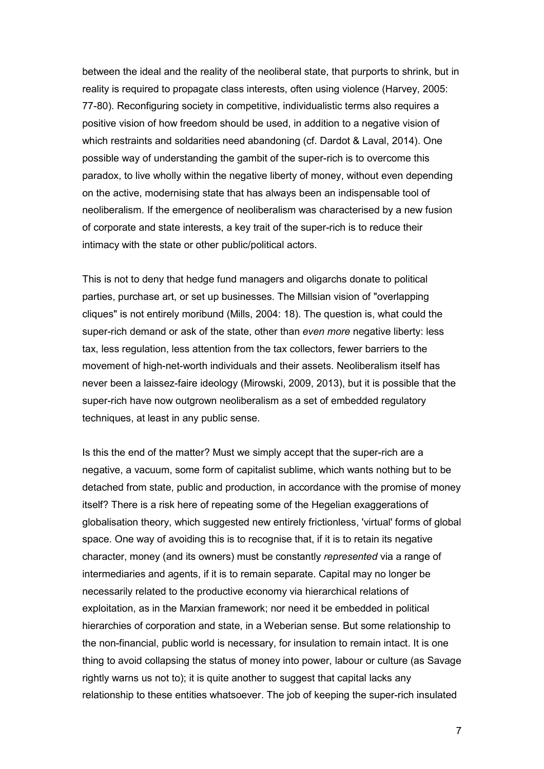between the ideal and the reality of the neoliberal state, that purports to shrink, but in reality is required to propagate class interests, often using violence (Harvey, 2005: 77-80). Reconfiguring society in competitive, individualistic terms also requires a positive vision of how freedom should be used, in addition to a negative vision of which restraints and soldarities need abandoning (cf. Dardot & Laval, 2014). One possible way of understanding the gambit of the super-rich is to overcome this paradox, to live wholly within the negative liberty of money, without even depending on the active, modernising state that has always been an indispensable tool of neoliberalism. If the emergence of neoliberalism was characterised by a new fusion of corporate and state interests, a key trait of the super-rich is to reduce their intimacy with the state or other public/political actors.

This is not to deny that hedge fund managers and oligarchs donate to political parties, purchase art, or set up businesses. The Millsian vision of "overlapping cliques" is not entirely moribund (Mills, 2004: 18). The question is, what could the super-rich demand or ask of the state, other than *even more* negative liberty: less tax, less regulation, less attention from the tax collectors, fewer barriers to the movement of high-net-worth individuals and their assets. Neoliberalism itself has never been a laissez-faire ideology (Mirowski, 2009, 2013), but it is possible that the super-rich have now outgrown neoliberalism as a set of embedded regulatory techniques, at least in any public sense.

Is this the end of the matter? Must we simply accept that the super-rich are a negative, a vacuum, some form of capitalist sublime, which wants nothing but to be detached from state, public and production, in accordance with the promise of money itself? There is a risk here of repeating some of the Hegelian exaggerations of globalisation theory, which suggested new entirely frictionless, 'virtual' forms of global space. One way of avoiding this is to recognise that, if it is to retain its negative character, money (and its owners) must be constantly *represented* via a range of intermediaries and agents, if it is to remain separate. Capital may no longer be necessarily related to the productive economy via hierarchical relations of exploitation, as in the Marxian framework; nor need it be embedded in political hierarchies of corporation and state, in a Weberian sense. But some relationship to the non-financial, public world is necessary, for insulation to remain intact. It is one thing to avoid collapsing the status of money into power, labour or culture (as Savage rightly warns us not to); it is quite another to suggest that capital lacks any relationship to these entities whatsoever. The job of keeping the super-rich insulated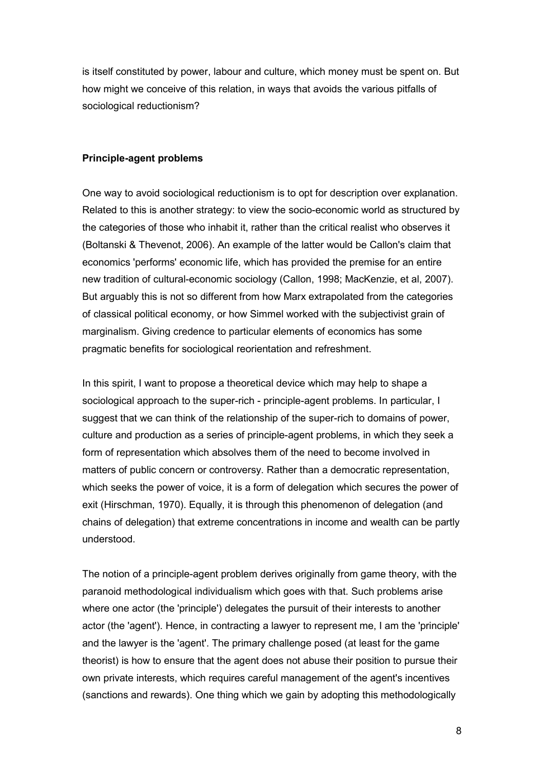is itself constituted by power, labour and culture, which money must be spent on. But how might we conceive of this relation, in ways that avoids the various pitfalls of sociological reductionism?

#### **Principle-agent problems**

One way to avoid sociological reductionism is to opt for description over explanation. Related to this is another strategy: to view the socio-economic world as structured by the categories of those who inhabit it, rather than the critical realist who observes it (Boltanski & Thevenot, 2006). An example of the latter would be Callon's claim that economics 'performs' economic life, which has provided the premise for an entire new tradition of cultural-economic sociology (Callon, 1998; MacKenzie, et al, 2007). But arguably this is not so different from how Marx extrapolated from the categories of classical political economy, or how Simmel worked with the subjectivist grain of marginalism. Giving credence to particular elements of economics has some pragmatic benefits for sociological reorientation and refreshment.

In this spirit, I want to propose a theoretical device which may help to shape a sociological approach to the super-rich - principle-agent problems. In particular, I suggest that we can think of the relationship of the super-rich to domains of power, culture and production as a series of principle-agent problems, in which they seek a form of representation which absolves them of the need to become involved in matters of public concern or controversy. Rather than a democratic representation, which seeks the power of voice, it is a form of delegation which secures the power of exit (Hirschman, 1970). Equally, it is through this phenomenon of delegation (and chains of delegation) that extreme concentrations in income and wealth can be partly understood.

The notion of a principle-agent problem derives originally from game theory, with the paranoid methodological individualism which goes with that. Such problems arise where one actor (the 'principle') delegates the pursuit of their interests to another actor (the 'agent'). Hence, in contracting a lawyer to represent me, I am the 'principle' and the lawyer is the 'agent'. The primary challenge posed (at least for the game theorist) is how to ensure that the agent does not abuse their position to pursue their own private interests, which requires careful management of the agent's incentives (sanctions and rewards). One thing which we gain by adopting this methodologically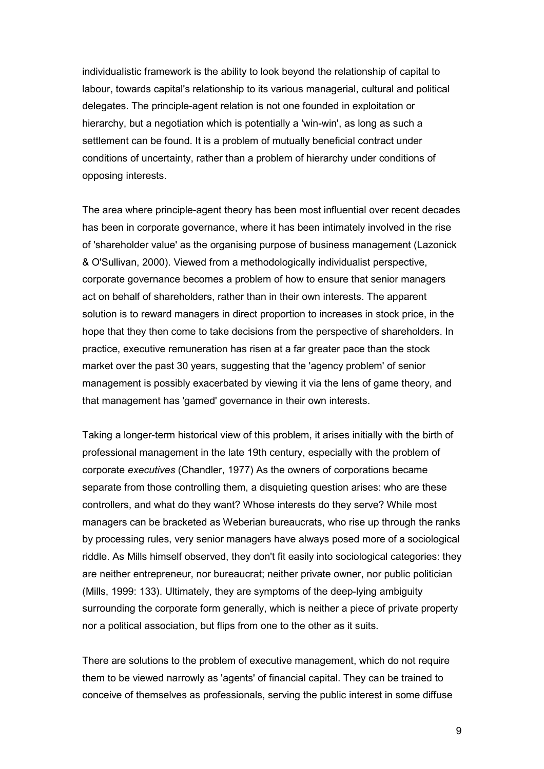individualistic framework is the ability to look beyond the relationship of capital to labour, towards capital's relationship to its various managerial, cultural and political delegates. The principle-agent relation is not one founded in exploitation or hierarchy, but a negotiation which is potentially a 'win-win', as long as such a settlement can be found. It is a problem of mutually beneficial contract under conditions of uncertainty, rather than a problem of hierarchy under conditions of opposing interests.

The area where principle-agent theory has been most influential over recent decades has been in corporate governance, where it has been intimately involved in the rise of 'shareholder value' as the organising purpose of business management (Lazonick & O'Sullivan, 2000). Viewed from a methodologically individualist perspective, corporate governance becomes a problem of how to ensure that senior managers act on behalf of shareholders, rather than in their own interests. The apparent solution is to reward managers in direct proportion to increases in stock price, in the hope that they then come to take decisions from the perspective of shareholders. In practice, executive remuneration has risen at a far greater pace than the stock market over the past 30 years, suggesting that the 'agency problem' of senior management is possibly exacerbated by viewing it via the lens of game theory, and that management has 'gamed' governance in their own interests.

Taking a longer-term historical view of this problem, it arises initially with the birth of professional management in the late 19th century, especially with the problem of corporate *executives* (Chandler, 1977) As the owners of corporations became separate from those controlling them, a disquieting question arises: who are these controllers, and what do they want? Whose interests do they serve? While most managers can be bracketed as Weberian bureaucrats, who rise up through the ranks by processing rules, very senior managers have always posed more of a sociological riddle. As Mills himself observed, they don't fit easily into sociological categories: they are neither entrepreneur, nor bureaucrat; neither private owner, nor public politician (Mills, 1999: 133). Ultimately, they are symptoms of the deep-lying ambiguity surrounding the corporate form generally, which is neither a piece of private property nor a political association, but flips from one to the other as it suits.

There are solutions to the problem of executive management, which do not require them to be viewed narrowly as 'agents' of financial capital. They can be trained to conceive of themselves as professionals, serving the public interest in some diffuse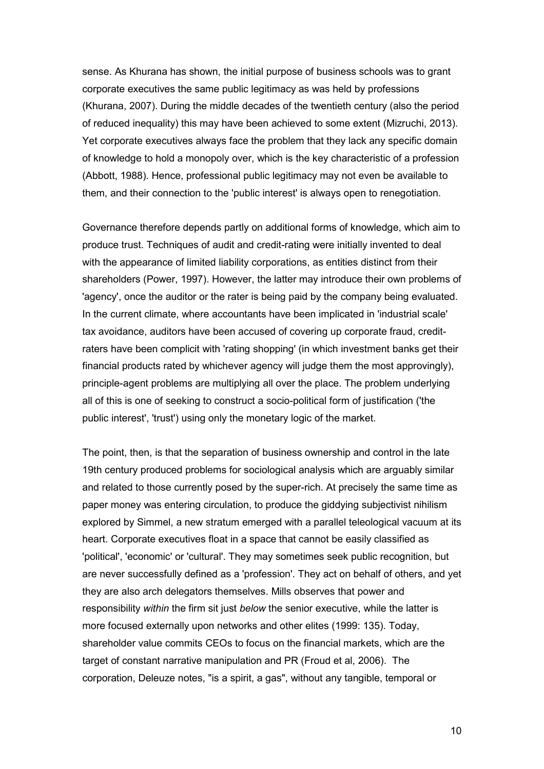sense. As Khurana has shown, the initial purpose of business schools was to grant corporate executives the same public legitimacy as was held by professions (Khurana, 2007). During the middle decades of the twentieth century (also the period of reduced inequality) this may have been achieved to some extent (Mizruchi, 2013). Yet corporate executives always face the problem that they lack any specific domain of knowledge to hold a monopoly over, which is the key characteristic of a profession (Abbott, 1988). Hence, professional public legitimacy may not even be available to them, and their connection to the 'public interest' is always open to renegotiation.

Governance therefore depends partly on additional forms of knowledge, which aim to produce trust. Techniques of audit and credit-rating were initially invented to deal with the appearance of limited liability corporations, as entities distinct from their shareholders (Power, 1997). However, the latter may introduce their own problems of 'agency', once the auditor or the rater is being paid by the company being evaluated. In the current climate, where accountants have been implicated in 'industrial scale' tax avoidance, auditors have been accused of covering up corporate fraud, creditraters have been complicit with 'rating shopping' (in which investment banks get their financial products rated by whichever agency will judge them the most approvingly), principle-agent problems are multiplying all over the place. The problem underlying all of this is one of seeking to construct a socio-political form of justification ('the public interest', 'trust') using only the monetary logic of the market.

The point, then, is that the separation of business ownership and control in the late 19th century produced problems for sociological analysis which are arguably similar and related to those currently posed by the super-rich. At precisely the same time as paper money was entering circulation, to produce the giddying subjectivist nihilism explored by Simmel, a new stratum emerged with a parallel teleological vacuum at its heart. Corporate executives float in a space that cannot be easily classified as 'political', 'economic' or 'cultural'. They may sometimes seek public recognition, but are never successfully defined as a 'profession'. They act on behalf of others, and yet they are also arch delegators themselves. Mills observes that power and responsibility *within* the firm sit just *below* the senior executive, while the latter is more focused externally upon networks and other elites (1999: 135). Today, shareholder value commits CEOs to focus on the financial markets, which are the target of constant narrative manipulation and PR (Froud et al, 2006). The corporation, Deleuze notes, "is a spirit, a gas", without any tangible, temporal or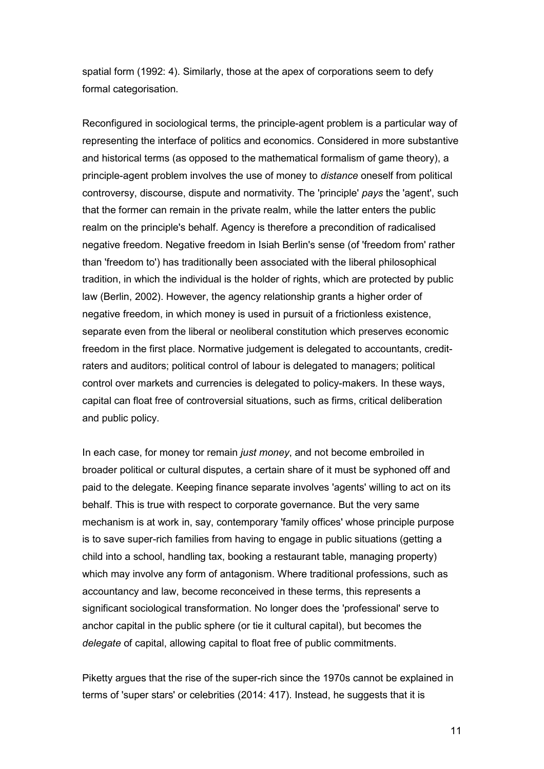spatial form (1992: 4). Similarly, those at the apex of corporations seem to defy formal categorisation.

Reconfigured in sociological terms, the principle-agent problem is a particular way of representing the interface of politics and economics. Considered in more substantive and historical terms (as opposed to the mathematical formalism of game theory), a principle-agent problem involves the use of money to *distance* oneself from political controversy, discourse, dispute and normativity. The 'principle' *pays* the 'agent', such that the former can remain in the private realm, while the latter enters the public realm on the principle's behalf. Agency is therefore a precondition of radicalised negative freedom. Negative freedom in Isiah Berlin's sense (of 'freedom from' rather than 'freedom to') has traditionally been associated with the liberal philosophical tradition, in which the individual is the holder of rights, which are protected by public law (Berlin, 2002). However, the agency relationship grants a higher order of negative freedom, in which money is used in pursuit of a frictionless existence, separate even from the liberal or neoliberal constitution which preserves economic freedom in the first place. Normative judgement is delegated to accountants, creditraters and auditors; political control of labour is delegated to managers; political control over markets and currencies is delegated to policy-makers. In these ways, capital can float free of controversial situations, such as firms, critical deliberation and public policy.

In each case, for money tor remain *just money*, and not become embroiled in broader political or cultural disputes, a certain share of it must be syphoned off and paid to the delegate. Keeping finance separate involves 'agents' willing to act on its behalf. This is true with respect to corporate governance. But the very same mechanism is at work in, say, contemporary 'family offices' whose principle purpose is to save super-rich families from having to engage in public situations (getting a child into a school, handling tax, booking a restaurant table, managing property) which may involve any form of antagonism. Where traditional professions, such as accountancy and law, become reconceived in these terms, this represents a significant sociological transformation. No longer does the 'professional' serve to anchor capital in the public sphere (or tie it cultural capital), but becomes the *delegate* of capital, allowing capital to float free of public commitments.

Piketty argues that the rise of the super-rich since the 1970s cannot be explained in terms of 'super stars' or celebrities (2014: 417). Instead, he suggests that it is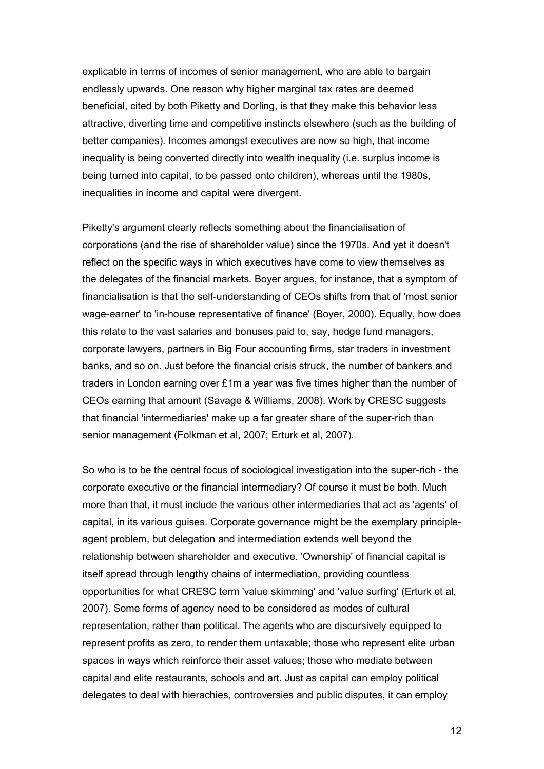explicable in terms of incomes of senior management, who are able to bargain endlessly upwards. One reason why higher marginal tax rates are deemed beneficial, cited by both Piketty and Dorling, is that they make this behavior less attractive, diverting time and competitive instincts elsewhere (such as the building of better companies). Incomes amongst executives are now so high, that income inequality is being converted directly into wealth inequality (i.e. surplus income is being turned into capital, to be passed onto children), whereas until the 1980s, inequalities in income and capital were divergent.

Piketty's argument clearly reflects something about the financialisation of corporations (and the rise of shareholder value) since the 1970s. And yet it doesn't reflect on the specific ways in which executives have come to view themselves as the delegates of the financial markets. Boyer argues, for instance, that a symptom of financialisation is that the self-understanding of CEOs shifts from that of 'most senior wage-earner' to 'in-house representative of finance' (Boyer, 2000). Equally, how does this relate to the vast salaries and bonuses paid to, say, hedge fund managers, corporate lawyers, partners in Big Four accounting firms, star traders in investment banks, and so on. Just before the financial crisis struck, the number of bankers and traders in London earning over £1m a year was five times higher than the number of CEOs earning that amount (Savage & Williams, 2008). Work by CRESC suggests that financial 'intermediaries' make up a far greater share of the super-rich than senior management (Folkman et al, 2007; Erturk et al, 2007).

So who is to be the central focus of sociological investigation into the super-rich - the corporate executive or the financial intermediary? Of course it must be both. Much more than that, it must include the various other intermediaries that act as 'agents' of capital, in its various guises. Corporate governance might be the exemplary principleagent problem, but delegation and intermediation extends well beyond the relationship between shareholder and executive. 'Ownership' of financial capital is itself spread through lengthy chains of intermediation, providing countless opportunities for what CRESC term 'value skimming' and 'value surfing' (Erturk et al, 2007). Some forms of agency need to be considered as modes of cultural representation, rather than political. The agents who are discursively equipped to represent profits as zero, to render them untaxable; those who represent elite urban spaces in ways which reinforce their asset values; those who mediate between capital and elite restaurants, schools and art. Just as capital can employ political delegates to deal with hierachies, controversies and public disputes, it can employ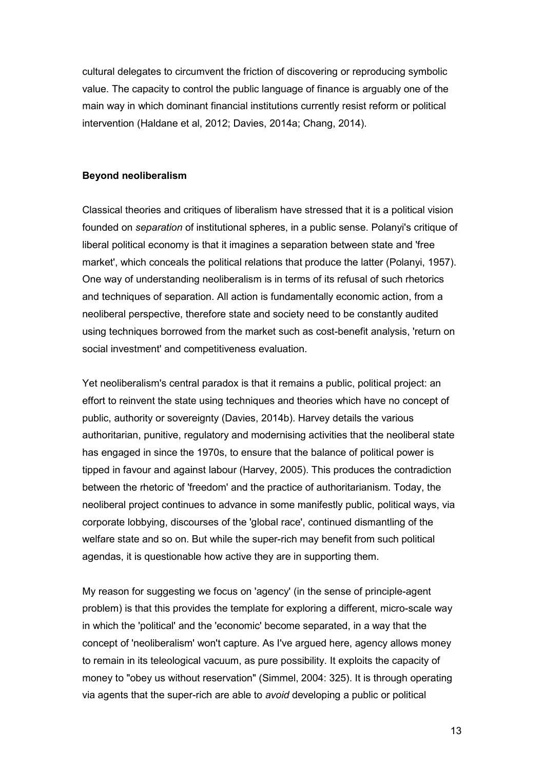cultural delegates to circumvent the friction of discovering or reproducing symbolic value. The capacity to control the public language of finance is arguably one of the main way in which dominant financial institutions currently resist reform or political intervention (Haldane et al, 2012; Davies, 2014a; Chang, 2014).

#### **Beyond neoliberalism**

Classical theories and critiques of liberalism have stressed that it is a political vision founded on *separation* of institutional spheres, in a public sense. Polanyi's critique of liberal political economy is that it imagines a separation between state and 'free market', which conceals the political relations that produce the latter (Polanyi, 1957). One way of understanding neoliberalism is in terms of its refusal of such rhetorics and techniques of separation. All action is fundamentally economic action, from a neoliberal perspective, therefore state and society need to be constantly audited using techniques borrowed from the market such as cost-benefit analysis, 'return on social investment' and competitiveness evaluation.

Yet neoliberalism's central paradox is that it remains a public, political project: an effort to reinvent the state using techniques and theories which have no concept of public, authority or sovereignty (Davies, 2014b). Harvey details the various authoritarian, punitive, regulatory and modernising activities that the neoliberal state has engaged in since the 1970s, to ensure that the balance of political power is tipped in favour and against labour (Harvey, 2005). This produces the contradiction between the rhetoric of 'freedom' and the practice of authoritarianism. Today, the neoliberal project continues to advance in some manifestly public, political ways, via corporate lobbying, discourses of the 'global race', continued dismantling of the welfare state and so on. But while the super-rich may benefit from such political agendas, it is questionable how active they are in supporting them.

My reason for suggesting we focus on 'agency' (in the sense of principle-agent problem) is that this provides the template for exploring a different, micro-scale way in which the 'political' and the 'economic' become separated, in a way that the concept of 'neoliberalism' won't capture. As I've argued here, agency allows money to remain in its teleological vacuum, as pure possibility. It exploits the capacity of money to "obey us without reservation" (Simmel, 2004: 325). It is through operating via agents that the super-rich are able to *avoid* developing a public or political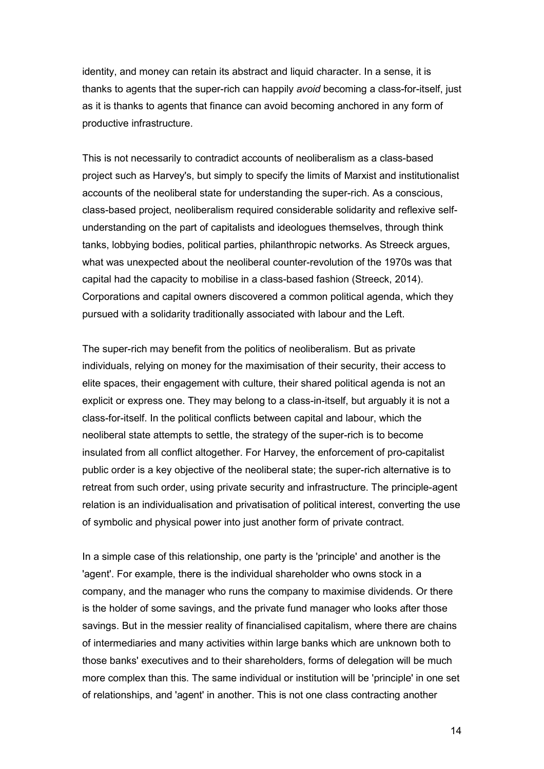identity, and money can retain its abstract and liquid character. In a sense, it is thanks to agents that the super-rich can happily *avoid* becoming a class-for-itself, just as it is thanks to agents that finance can avoid becoming anchored in any form of productive infrastructure.

This is not necessarily to contradict accounts of neoliberalism as a class-based project such as Harvey's, but simply to specify the limits of Marxist and institutionalist accounts of the neoliberal state for understanding the super-rich. As a conscious, class-based project, neoliberalism required considerable solidarity and reflexive selfunderstanding on the part of capitalists and ideologues themselves, through think tanks, lobbying bodies, political parties, philanthropic networks. As Streeck argues, what was unexpected about the neoliberal counter-revolution of the 1970s was that capital had the capacity to mobilise in a class-based fashion (Streeck, 2014). Corporations and capital owners discovered a common political agenda, which they pursued with a solidarity traditionally associated with labour and the Left.

The super-rich may benefit from the politics of neoliberalism. But as private individuals, relying on money for the maximisation of their security, their access to elite spaces, their engagement with culture, their shared political agenda is not an explicit or express one. They may belong to a class-in-itself, but arguably it is not a class-for-itself. In the political conflicts between capital and labour, which the neoliberal state attempts to settle, the strategy of the super-rich is to become insulated from all conflict altogether. For Harvey, the enforcement of pro-capitalist public order is a key objective of the neoliberal state; the super-rich alternative is to retreat from such order, using private security and infrastructure. The principle-agent relation is an individualisation and privatisation of political interest, converting the use of symbolic and physical power into just another form of private contract.

In a simple case of this relationship, one party is the 'principle' and another is the 'agent'. For example, there is the individual shareholder who owns stock in a company, and the manager who runs the company to maximise dividends. Or there is the holder of some savings, and the private fund manager who looks after those savings. But in the messier reality of financialised capitalism, where there are chains of intermediaries and many activities within large banks which are unknown both to those banks' executives and to their shareholders, forms of delegation will be much more complex than this. The same individual or institution will be 'principle' in one set of relationships, and 'agent' in another. This is not one class contracting another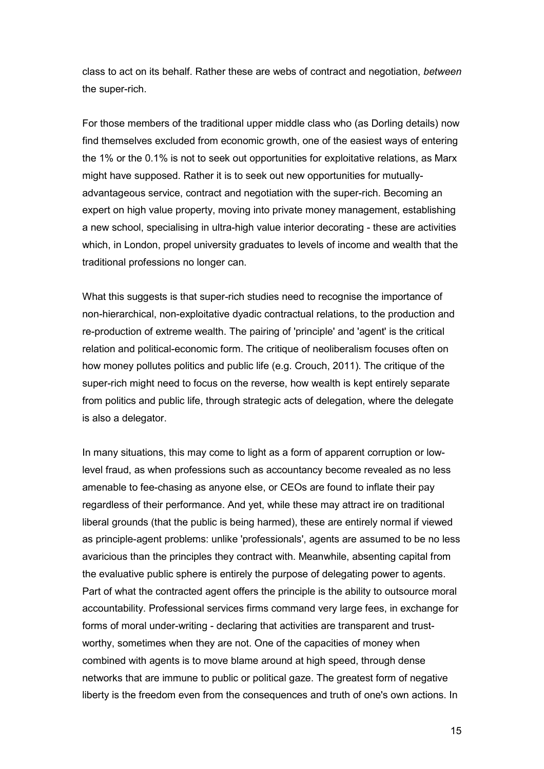class to act on its behalf. Rather these are webs of contract and negotiation, *between* the super-rich.

For those members of the traditional upper middle class who (as Dorling details) now find themselves excluded from economic growth, one of the easiest ways of entering the 1% or the 0.1% is not to seek out opportunities for exploitative relations, as Marx might have supposed. Rather it is to seek out new opportunities for mutuallyadvantageous service, contract and negotiation with the super-rich. Becoming an expert on high value property, moving into private money management, establishing a new school, specialising in ultra-high value interior decorating - these are activities which, in London, propel university graduates to levels of income and wealth that the traditional professions no longer can.

What this suggests is that super-rich studies need to recognise the importance of non-hierarchical, non-exploitative dyadic contractual relations, to the production and re-production of extreme wealth. The pairing of 'principle' and 'agent' is the critical relation and political-economic form. The critique of neoliberalism focuses often on how money pollutes politics and public life (e.g. Crouch, 2011). The critique of the super-rich might need to focus on the reverse, how wealth is kept entirely separate from politics and public life, through strategic acts of delegation, where the delegate is also a delegator.

In many situations, this may come to light as a form of apparent corruption or lowlevel fraud, as when professions such as accountancy become revealed as no less amenable to fee-chasing as anyone else, or CEOs are found to inflate their pay regardless of their performance. And yet, while these may attract ire on traditional liberal grounds (that the public is being harmed), these are entirely normal if viewed as principle-agent problems: unlike 'professionals', agents are assumed to be no less avaricious than the principles they contract with. Meanwhile, absenting capital from the evaluative public sphere is entirely the purpose of delegating power to agents. Part of what the contracted agent offers the principle is the ability to outsource moral accountability. Professional services firms command very large fees, in exchange for forms of moral under-writing - declaring that activities are transparent and trustworthy, sometimes when they are not. One of the capacities of money when combined with agents is to move blame around at high speed, through dense networks that are immune to public or political gaze. The greatest form of negative liberty is the freedom even from the consequences and truth of one's own actions. In

15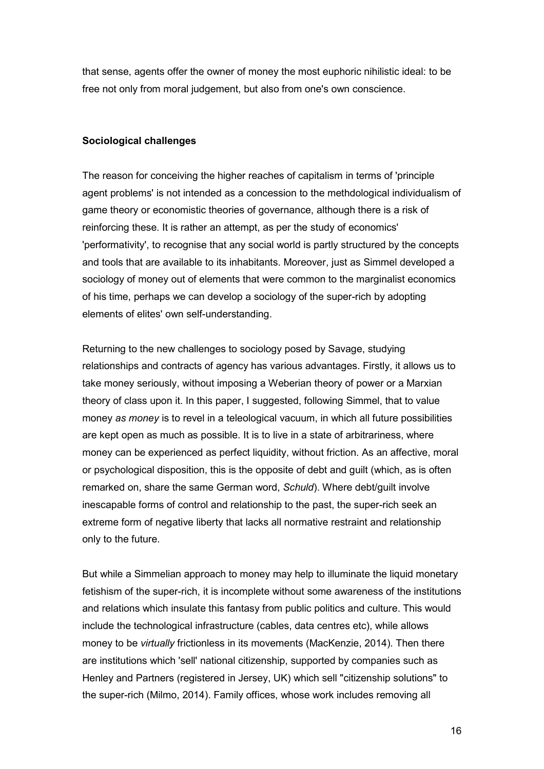that sense, agents offer the owner of money the most euphoric nihilistic ideal: to be free not only from moral judgement, but also from one's own conscience.

#### **Sociological challenges**

The reason for conceiving the higher reaches of capitalism in terms of 'principle agent problems' is not intended as a concession to the methdological individualism of game theory or economistic theories of governance, although there is a risk of reinforcing these. It is rather an attempt, as per the study of economics' 'performativity', to recognise that any social world is partly structured by the concepts and tools that are available to its inhabitants. Moreover, just as Simmel developed a sociology of money out of elements that were common to the marginalist economics of his time, perhaps we can develop a sociology of the super-rich by adopting elements of elites' own self-understanding.

Returning to the new challenges to sociology posed by Savage, studying relationships and contracts of agency has various advantages. Firstly, it allows us to take money seriously, without imposing a Weberian theory of power or a Marxian theory of class upon it. In this paper, I suggested, following Simmel, that to value money *as money* is to revel in a teleological vacuum, in which all future possibilities are kept open as much as possible. It is to live in a state of arbitrariness, where money can be experienced as perfect liquidity, without friction. As an affective, moral or psychological disposition, this is the opposite of debt and guilt (which, as is often remarked on, share the same German word, *Schuld*). Where debt/guilt involve inescapable forms of control and relationship to the past, the super-rich seek an extreme form of negative liberty that lacks all normative restraint and relationship only to the future.

But while a Simmelian approach to money may help to illuminate the liquid monetary fetishism of the super-rich, it is incomplete without some awareness of the institutions and relations which insulate this fantasy from public politics and culture. This would include the technological infrastructure (cables, data centres etc), while allows money to be *virtually* frictionless in its movements (MacKenzie, 2014). Then there are institutions which 'sell' national citizenship, supported by companies such as Henley and Partners (registered in Jersey, UK) which sell "citizenship solutions" to the super-rich (Milmo, 2014). Family offices, whose work includes removing all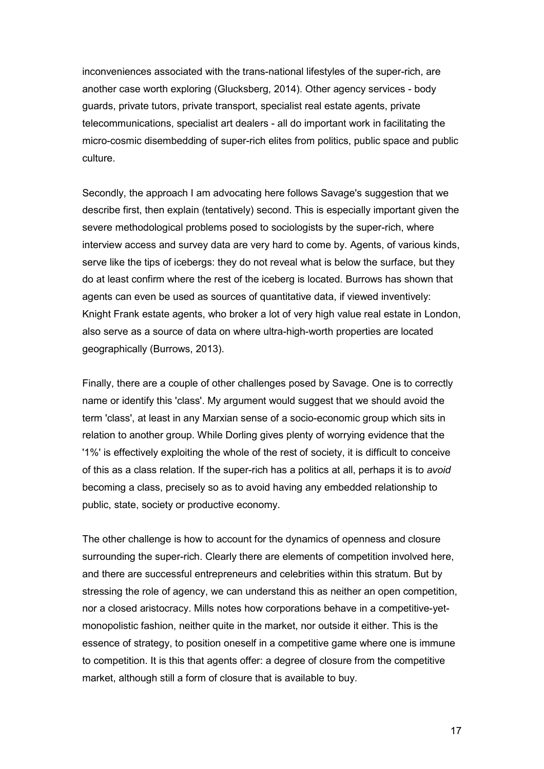inconveniences associated with the trans-national lifestyles of the super-rich, are another case worth exploring (Glucksberg, 2014). Other agency services - body guards, private tutors, private transport, specialist real estate agents, private telecommunications, specialist art dealers - all do important work in facilitating the micro-cosmic disembedding of super-rich elites from politics, public space and public culture.

Secondly, the approach I am advocating here follows Savage's suggestion that we describe first, then explain (tentatively) second. This is especially important given the severe methodological problems posed to sociologists by the super-rich, where interview access and survey data are very hard to come by. Agents, of various kinds, serve like the tips of icebergs: they do not reveal what is below the surface, but they do at least confirm where the rest of the iceberg is located. Burrows has shown that agents can even be used as sources of quantitative data, if viewed inventively: Knight Frank estate agents, who broker a lot of very high value real estate in London, also serve as a source of data on where ultra-high-worth properties are located geographically (Burrows, 2013).

Finally, there are a couple of other challenges posed by Savage. One is to correctly name or identify this 'class'. My argument would suggest that we should avoid the term 'class', at least in any Marxian sense of a socio-economic group which sits in relation to another group. While Dorling gives plenty of worrying evidence that the '1%' is effectively exploiting the whole of the rest of society, it is difficult to conceive of this as a class relation. If the super-rich has a politics at all, perhaps it is to *avoid* becoming a class, precisely so as to avoid having any embedded relationship to public, state, society or productive economy.

The other challenge is how to account for the dynamics of openness and closure surrounding the super-rich. Clearly there are elements of competition involved here, and there are successful entrepreneurs and celebrities within this stratum. But by stressing the role of agency, we can understand this as neither an open competition, nor a closed aristocracy. Mills notes how corporations behave in a competitive-yetmonopolistic fashion, neither quite in the market, nor outside it either. This is the essence of strategy, to position oneself in a competitive game where one is immune to competition. It is this that agents offer: a degree of closure from the competitive market, although still a form of closure that is available to buy.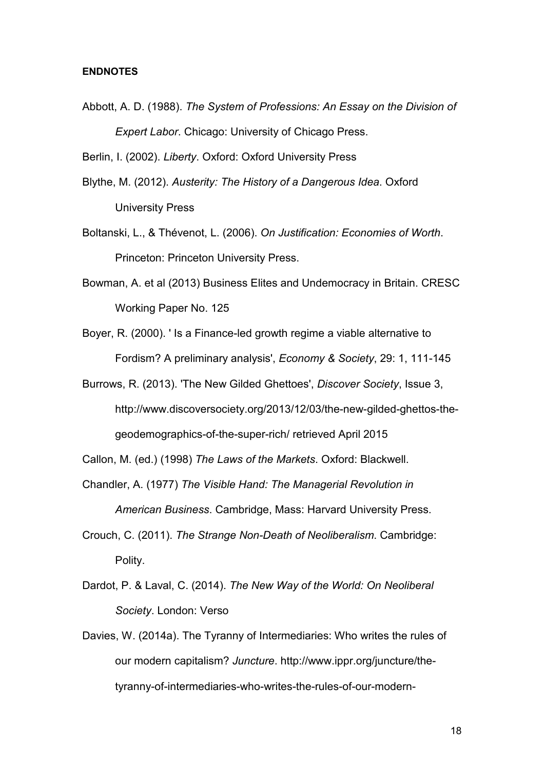#### **ENDNOTES**

Abbott, A. D. (1988). *The System of Professions: An Essay on the Division of Expert Labor*. Chicago: University of Chicago Press.

Berlin, I. (2002). *Liberty*. Oxford: Oxford University Press

- Blythe, M. (2012). *Austerity: The History of a Dangerous Idea*. Oxford University Press
- Boltanski, L., & Thévenot, L. (2006). *On Justification: Economies of Worth*. Princeton: Princeton University Press.
- Bowman, A. et al (2013) Business Elites and Undemocracy in Britain. CRESC Working Paper No. 125
- Boyer, R. (2000). ' Is a Finance-led growth regime a viable alternative to Fordism? A preliminary analysis', *Economy & Society*, 29: 1, 111-145
- Burrows, R. (2013). 'The New Gilded Ghettoes', *Discover Society*, Issue 3, http://www.discoversociety.org/2013/12/03/the-new-gilded-ghettos-thegeodemographics-of-the-super-rich/ retrieved April 2015

Callon, M. (ed.) (1998) *The Laws of the Markets*. Oxford: Blackwell.

- Chandler, A. (1977) *The Visible Hand: The Managerial Revolution in American Business*. Cambridge, Mass: Harvard University Press.
- Crouch, C. (2011). *The Strange Non-Death of Neoliberalism*. Cambridge: Polity.
- Dardot, P. & Laval, C. (2014). *The New Way of the World: On Neoliberal Society*. London: Verso
- Davies, W. (2014a). The Tyranny of Intermediaries: Who writes the rules of our modern capitalism? *Juncture*. http://www.ippr.org/juncture/thetyranny-of-intermediaries-who-writes-the-rules-of-our-modern-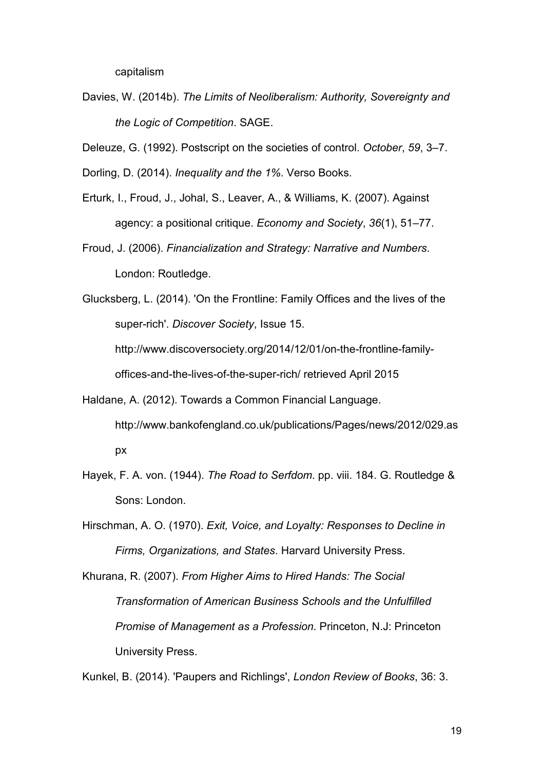capitalism

Davies, W. (2014b). *The Limits of Neoliberalism: Authority, Sovereignty and the Logic of Competition*. SAGE.

Deleuze, G. (1992). Postscript on the societies of control. *October*, *59*, 3–7.

Dorling, D. (2014). *Inequality and the 1%*. Verso Books.

- Erturk, I., Froud, J., Johal, S., Leaver, A., & Williams, K. (2007). Against agency: a positional critique. *Economy and Society*, *36*(1), 51–77.
- Froud, J. (2006). *Financialization and Strategy: Narrative and Numbers*. London: Routledge.

Glucksberg, L. (2014). 'On the Frontline: Family Offices and the lives of the super-rich'. *Discover Society*, Issue 15. http://www.discoversociety.org/2014/12/01/on-the-frontline-familyoffices-and-the-lives-of-the-super-rich/ retrieved April 2015

Haldane, A. (2012). Towards a Common Financial Language. http://www.bankofengland.co.uk/publications/Pages/news/2012/029.as px

Hayek, F. A. von. (1944). *The Road to Serfdom*. pp. viii. 184. G. Routledge & Sons: London.

Hirschman, A. O. (1970). *Exit, Voice, and Loyalty: Responses to Decline in Firms, Organizations, and States*. Harvard University Press.

Khurana, R. (2007). *From Higher Aims to Hired Hands: The Social Transformation of American Business Schools and the Unfulfilled Promise of Management as a Profession*. Princeton, N.J: Princeton University Press.

Kunkel, B. (2014). 'Paupers and Richlings', *London Review of Books*, 36: 3.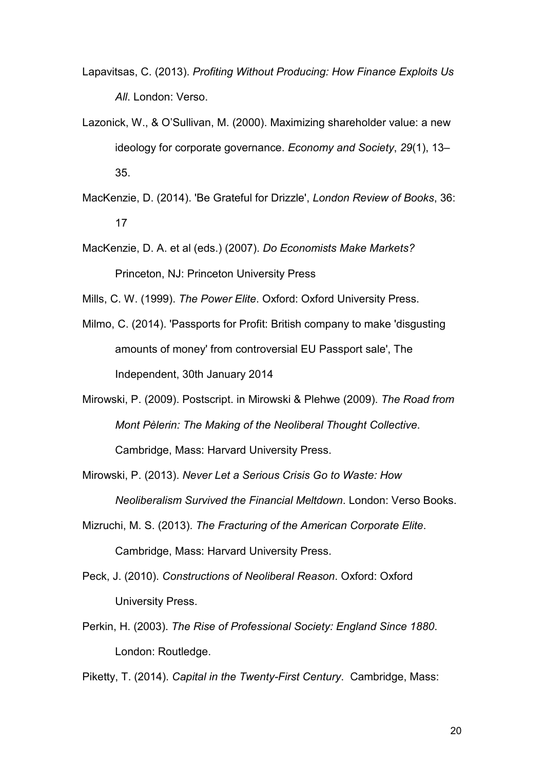Lapavitsas, C. (2013). *Profiting Without Producing: How Finance Exploits Us All*. London: Verso.

- Lazonick, W., & O'Sullivan, M. (2000). Maximizing shareholder value: a new ideology for corporate governance. *Economy and Society*, *29*(1), 13– 35.
- MacKenzie, D. (2014). 'Be Grateful for Drizzle', *London Review of Books*, 36: 17
- MacKenzie, D. A. et al (eds.) (2007). *Do Economists Make Markets?* Princeton, NJ: Princeton University Press

Mills, C. W. (1999). *The Power Elite*. Oxford: Oxford University Press.

- Milmo, C. (2014). 'Passports for Profit: British company to make 'disgusting amounts of money' from controversial EU Passport sale', The Independent, 30th January 2014
- Mirowski, P. (2009). Postscript. in Mirowski & Plehwe (2009). *The Road from Mont Pèlerin: The Making of the Neoliberal Thought Collective*. Cambridge, Mass: Harvard University Press.
- Mirowski, P. (2013). *Never Let a Serious Crisis Go to Waste: How Neoliberalism Survived the Financial Meltdown*. London: Verso Books.
- Mizruchi, M. S. (2013). *The Fracturing of the American Corporate Elite*. Cambridge, Mass: Harvard University Press.
- Peck, J. (2010). *Constructions of Neoliberal Reason*. Oxford: Oxford University Press.
- Perkin, H. (2003). *The Rise of Professional Society: England Since 1880*. London: Routledge.

Piketty, T. (2014). *Capital in the Twenty-First Century*. Cambridge, Mass: